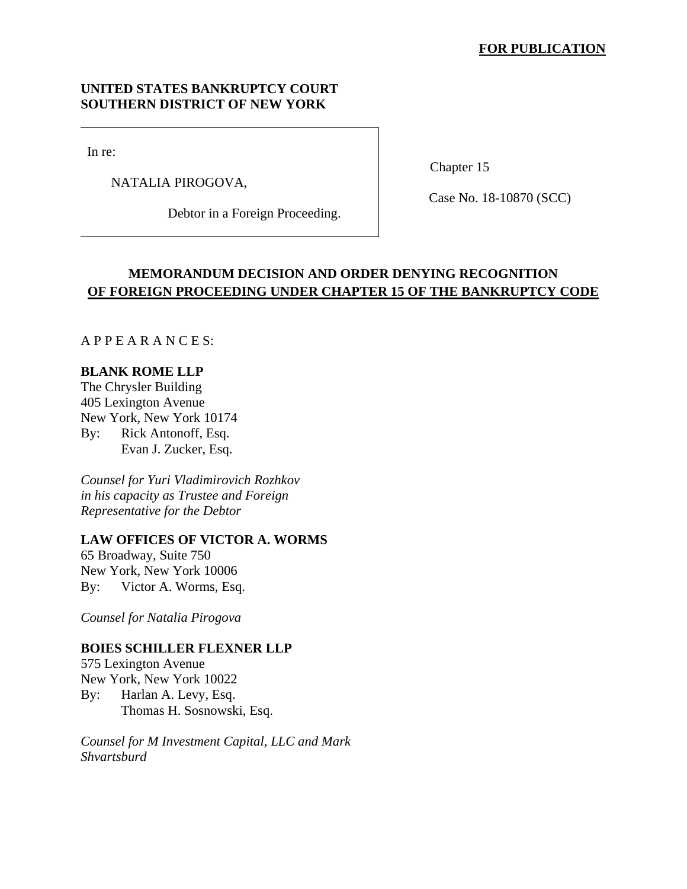## **UNITED STATES BANKRUPTCY COURT SOUTHERN DISTRICT OF NEW YORK**

In re:

NATALIA PIROGOVA,

Debtor in a Foreign Proceeding.

Chapter 15

Case No. 18-10870 (SCC)

# **MEMORANDUM DECISION AND ORDER DENYING RECOGNITION OF FOREIGN PROCEEDING UNDER CHAPTER 15 OF THE BANKRUPTCY CODE**

A P P E A R A N C E S:

## **BLANK ROME LLP**

The Chrysler Building 405 Lexington Avenue New York, New York 10174 By: Rick Antonoff, Esq. Evan J. Zucker, Esq.

*Counsel for Yuri Vladimirovich Rozhkov in his capacity as Trustee and Foreign Representative for the Debtor* 

## **LAW OFFICES OF VICTOR A. WORMS**

65 Broadway, Suite 750 New York, New York 10006 By: Victor A. Worms, Esq.

*Counsel for Natalia Pirogova* 

## **BOIES SCHILLER FLEXNER LLP**

575 Lexington Avenue New York, New York 10022 By: Harlan A. Levy, Esq. Thomas H. Sosnowski, Esq.

*Counsel for M Investment Capital, LLC and Mark Shvartsburd*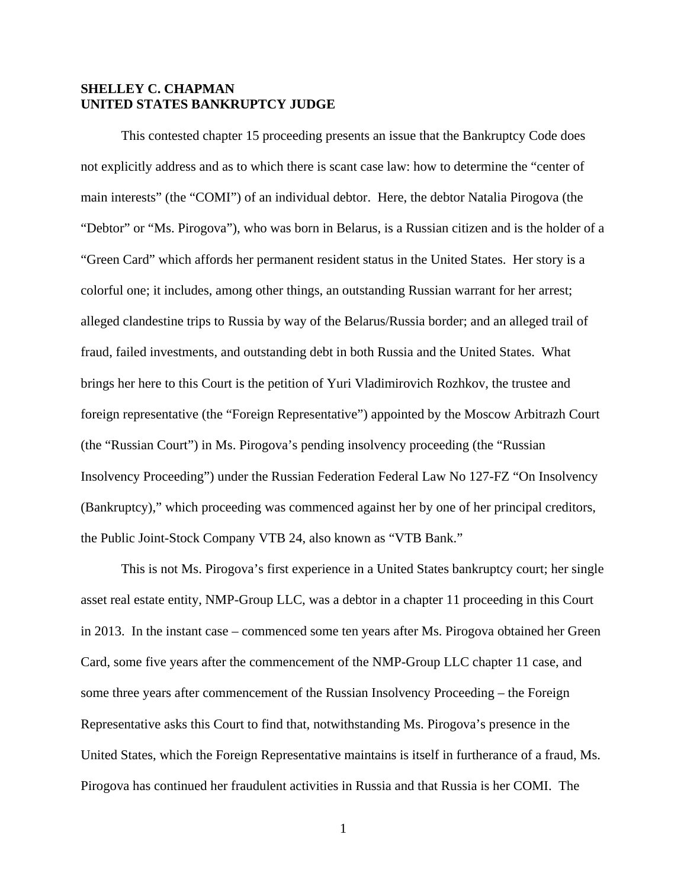## **SHELLEY C. CHAPMAN UNITED STATES BANKRUPTCY JUDGE**

This contested chapter 15 proceeding presents an issue that the Bankruptcy Code does not explicitly address and as to which there is scant case law: how to determine the "center of main interests" (the "COMI") of an individual debtor. Here, the debtor Natalia Pirogova (the "Debtor" or "Ms. Pirogova"), who was born in Belarus, is a Russian citizen and is the holder of a "Green Card" which affords her permanent resident status in the United States. Her story is a colorful one; it includes, among other things, an outstanding Russian warrant for her arrest; alleged clandestine trips to Russia by way of the Belarus/Russia border; and an alleged trail of fraud, failed investments, and outstanding debt in both Russia and the United States. What brings her here to this Court is the petition of Yuri Vladimirovich Rozhkov, the trustee and foreign representative (the "Foreign Representative") appointed by the Moscow Arbitrazh Court (the "Russian Court") in Ms. Pirogova's pending insolvency proceeding (the "Russian Insolvency Proceeding") under the Russian Federation Federal Law No 127-FZ "On Insolvency (Bankruptcy)," which proceeding was commenced against her by one of her principal creditors, the Public Joint-Stock Company VTB 24, also known as "VTB Bank."

This is not Ms. Pirogova's first experience in a United States bankruptcy court; her single asset real estate entity, NMP-Group LLC, was a debtor in a chapter 11 proceeding in this Court in 2013. In the instant case – commenced some ten years after Ms. Pirogova obtained her Green Card, some five years after the commencement of the NMP-Group LLC chapter 11 case, and some three years after commencement of the Russian Insolvency Proceeding – the Foreign Representative asks this Court to find that, notwithstanding Ms. Pirogova's presence in the United States, which the Foreign Representative maintains is itself in furtherance of a fraud, Ms. Pirogova has continued her fraudulent activities in Russia and that Russia is her COMI. The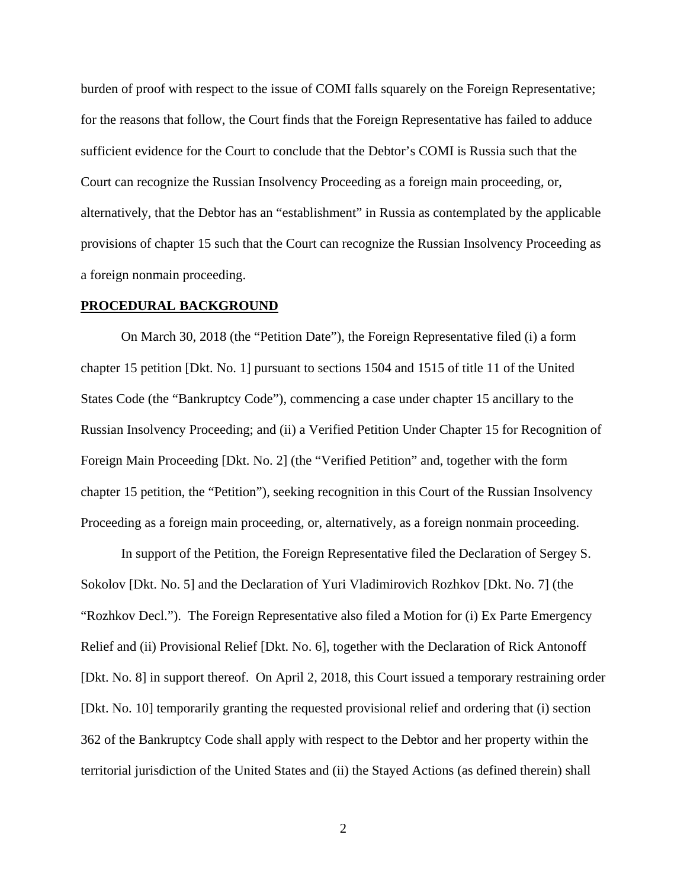burden of proof with respect to the issue of COMI falls squarely on the Foreign Representative; for the reasons that follow, the Court finds that the Foreign Representative has failed to adduce sufficient evidence for the Court to conclude that the Debtor's COMI is Russia such that the Court can recognize the Russian Insolvency Proceeding as a foreign main proceeding, or, alternatively, that the Debtor has an "establishment" in Russia as contemplated by the applicable provisions of chapter 15 such that the Court can recognize the Russian Insolvency Proceeding as a foreign nonmain proceeding.

#### **PROCEDURAL BACKGROUND**

On March 30, 2018 (the "Petition Date"), the Foreign Representative filed (i) a form chapter 15 petition [Dkt. No. 1] pursuant to sections 1504 and 1515 of title 11 of the United States Code (the "Bankruptcy Code"), commencing a case under chapter 15 ancillary to the Russian Insolvency Proceeding; and (ii) a Verified Petition Under Chapter 15 for Recognition of Foreign Main Proceeding [Dkt. No. 2] (the "Verified Petition" and, together with the form chapter 15 petition, the "Petition"), seeking recognition in this Court of the Russian Insolvency Proceeding as a foreign main proceeding, or, alternatively, as a foreign nonmain proceeding.

In support of the Petition, the Foreign Representative filed the Declaration of Sergey S. Sokolov [Dkt. No. 5] and the Declaration of Yuri Vladimirovich Rozhkov [Dkt. No. 7] (the "Rozhkov Decl."). The Foreign Representative also filed a Motion for (i) Ex Parte Emergency Relief and (ii) Provisional Relief [Dkt. No. 6], together with the Declaration of Rick Antonoff [Dkt. No. 8] in support thereof. On April 2, 2018, this Court issued a temporary restraining order [Dkt. No. 10] temporarily granting the requested provisional relief and ordering that (i) section 362 of the Bankruptcy Code shall apply with respect to the Debtor and her property within the territorial jurisdiction of the United States and (ii) the Stayed Actions (as defined therein) shall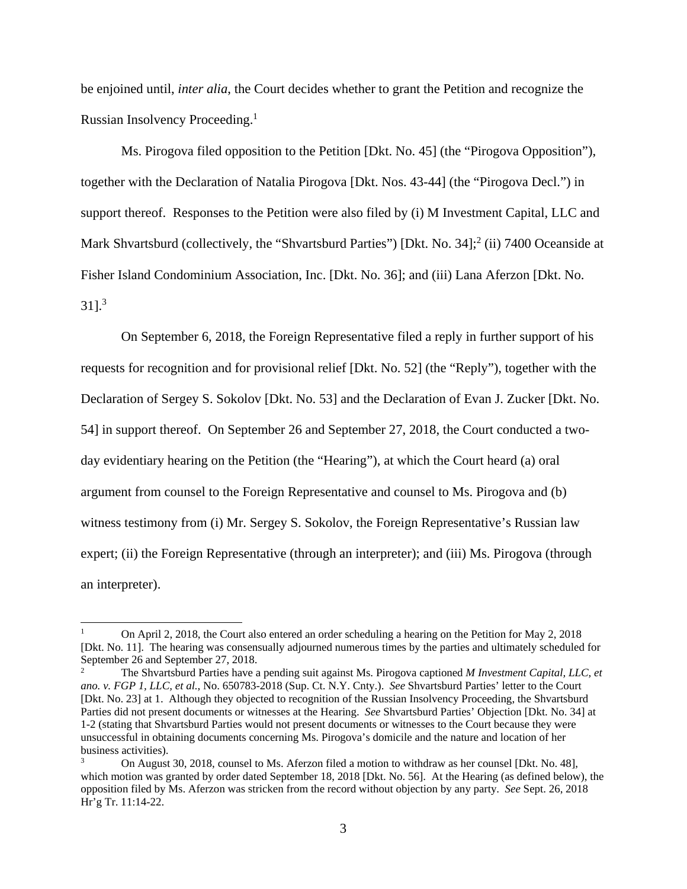be enjoined until, *inter alia*, the Court decides whether to grant the Petition and recognize the Russian Insolvency Proceeding.1

 Ms. Pirogova filed opposition to the Petition [Dkt. No. 45] (the "Pirogova Opposition"), together with the Declaration of Natalia Pirogova [Dkt. Nos. 43-44] (the "Pirogova Decl.") in support thereof. Responses to the Petition were also filed by (i) M Investment Capital, LLC and Mark Shvartsburd (collectively, the "Shvartsburd Parties") [Dkt. No. 34];<sup>2</sup> (ii) 7400 Oceanside at Fisher Island Condominium Association, Inc. [Dkt. No. 36]; and (iii) Lana Aferzon [Dkt. No.  $31$ ].<sup>3</sup>

 On September 6, 2018, the Foreign Representative filed a reply in further support of his requests for recognition and for provisional relief [Dkt. No. 52] (the "Reply"), together with the Declaration of Sergey S. Sokolov [Dkt. No. 53] and the Declaration of Evan J. Zucker [Dkt. No. 54] in support thereof. On September 26 and September 27, 2018, the Court conducted a twoday evidentiary hearing on the Petition (the "Hearing"), at which the Court heard (a) oral argument from counsel to the Foreign Representative and counsel to Ms. Pirogova and (b) witness testimony from (i) Mr. Sergey S. Sokolov, the Foreign Representative's Russian law expert; (ii) the Foreign Representative (through an interpreter); and (iii) Ms. Pirogova (through an interpreter).

<sup>1</sup> On April 2, 2018, the Court also entered an order scheduling a hearing on the Petition for May 2, 2018 [Dkt. No. 11]. The hearing was consensually adjourned numerous times by the parties and ultimately scheduled for September 26 and September 27, 2018.

<sup>2</sup> The Shvartsburd Parties have a pending suit against Ms. Pirogova captioned *M Investment Capital, LLC, et ano. v. FGP 1, LLC, et al.*, No. 650783-2018 (Sup. Ct. N.Y. Cnty.). *See* Shvartsburd Parties' letter to the Court [Dkt. No. 23] at 1. Although they objected to recognition of the Russian Insolvency Proceeding, the Shvartsburd Parties did not present documents or witnesses at the Hearing. *See* Shvartsburd Parties' Objection [Dkt. No. 34] at 1-2 (stating that Shvartsburd Parties would not present documents or witnesses to the Court because they were unsuccessful in obtaining documents concerning Ms. Pirogova's domicile and the nature and location of her business activities).

<sup>3</sup> On August 30, 2018, counsel to Ms. Aferzon filed a motion to withdraw as her counsel [Dkt. No. 48], which motion was granted by order dated September 18, 2018 [Dkt. No. 56]. At the Hearing (as defined below), the opposition filed by Ms. Aferzon was stricken from the record without objection by any party. *See* Sept. 26, 2018 Hr'g Tr. 11:14-22.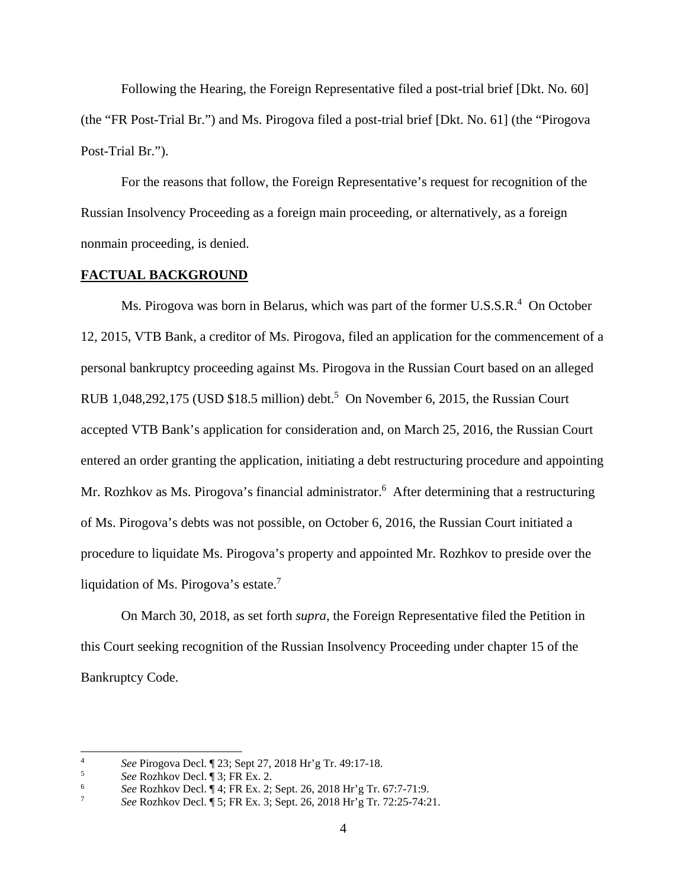Following the Hearing, the Foreign Representative filed a post-trial brief [Dkt. No. 60] (the "FR Post-Trial Br.") and Ms. Pirogova filed a post-trial brief [Dkt. No. 61] (the "Pirogova Post-Trial Br.").

For the reasons that follow, the Foreign Representative's request for recognition of the Russian Insolvency Proceeding as a foreign main proceeding, or alternatively, as a foreign nonmain proceeding, is denied.

### **FACTUAL BACKGROUND**

Ms. Pirogova was born in Belarus, which was part of the former U.S.S.R.<sup>4</sup> On October 12, 2015, VTB Bank, a creditor of Ms. Pirogova, filed an application for the commencement of a personal bankruptcy proceeding against Ms. Pirogova in the Russian Court based on an alleged RUB 1,048,292,175 (USD  $$18.5$  million) debt.<sup>5</sup> On November 6, 2015, the Russian Court accepted VTB Bank's application for consideration and, on March 25, 2016, the Russian Court entered an order granting the application, initiating a debt restructuring procedure and appointing Mr. Rozhkov as Ms. Pirogova's financial administrator.<sup>6</sup> After determining that a restructuring of Ms. Pirogova's debts was not possible, on October 6, 2016, the Russian Court initiated a procedure to liquidate Ms. Pirogova's property and appointed Mr. Rozhkov to preside over the liquidation of Ms. Pirogova's estate.7

On March 30, 2018, as set forth *supra*, the Foreign Representative filed the Petition in this Court seeking recognition of the Russian Insolvency Proceeding under chapter 15 of the Bankruptcy Code.

 $\frac{1}{4}$ *See* Pirogova Decl.  $\sqrt{23}$ ; Sept 27, 2018 Hr'g Tr. 49:17-18.

*See* Rozhkov Decl. ¶ 3; FR Ex. 2. 6

*See* Rozhkov Decl. ¶ 4; FR Ex. 2; Sept. 26, 2018 Hr'g Tr. 67:7-71:9.<br>
See Rozhkov Decl. ¶ 5: ER Ex. 2: Sept. 26, 2018 Hr's Tr. 73:25, 74:2

*See* Rozhkov Decl. ¶ 5; FR Ex. 3; Sept. 26, 2018 Hr'g Tr. 72:25-74:21.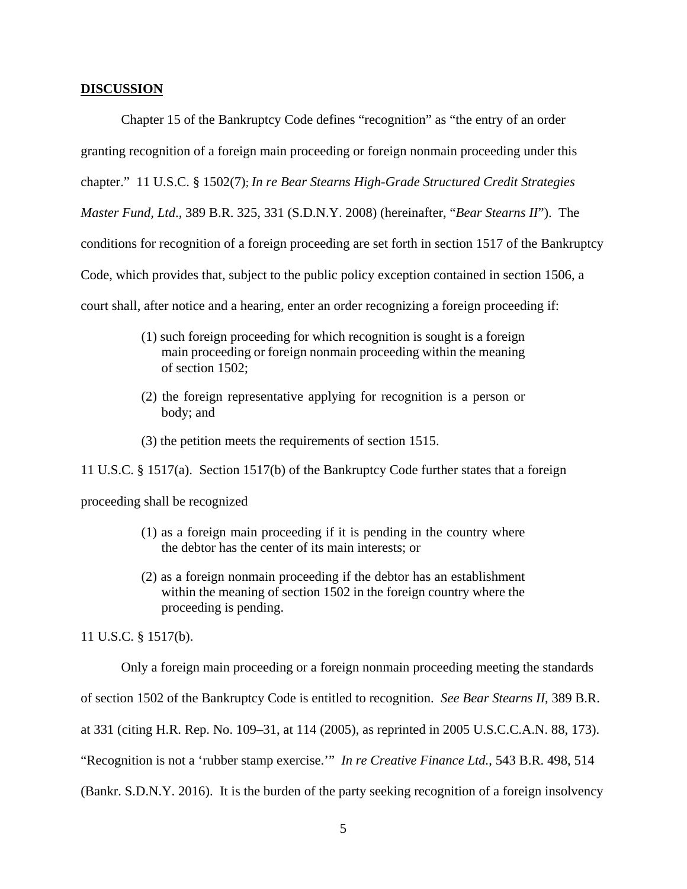#### **DISCUSSION**

Chapter 15 of the Bankruptcy Code defines "recognition" as "the entry of an order granting recognition of a foreign main proceeding or foreign nonmain proceeding under this chapter." 11 U.S.C. § 1502(7); *In re Bear Stearns High-Grade Structured Credit Strategies Master Fund, Ltd*., 389 B.R. 325, 331 (S.D.N.Y. 2008) (hereinafter, "*Bear Stearns II*"). The conditions for recognition of a foreign proceeding are set forth in section 1517 of the Bankruptcy Code, which provides that, subject to the public policy exception contained in section 1506, a court shall, after notice and a hearing, enter an order recognizing a foreign proceeding if:

- (1) such foreign proceeding for which recognition is sought is a foreign main proceeding or foreign nonmain proceeding within the meaning of section 1502;
- (2) the foreign representative applying for recognition is a person or body; and
- (3) the petition meets the requirements of section 1515.

11 U.S.C. § 1517(a). Section 1517(b) of the Bankruptcy Code further states that a foreign

proceeding shall be recognized

- (1) as a foreign main proceeding if it is pending in the country where the debtor has the center of its main interests; or
- (2) as a foreign nonmain proceeding if the debtor has an establishment within the meaning of section 1502 in the foreign country where the proceeding is pending.

11 U.S.C. § 1517(b).

Only a foreign main proceeding or a foreign nonmain proceeding meeting the standards

of section 1502 of the Bankruptcy Code is entitled to recognition. *See Bear Stearns II*, 389 B.R.

at 331 (citing H.R. Rep. No. 109–31, at 114 (2005), as reprinted in 2005 U.S.C.C.A.N. 88, 173).

"Recognition is not a 'rubber stamp exercise.'" *In re Creative Finance Ltd.*, 543 B.R. 498, 514

(Bankr. S.D.N.Y. 2016). It is the burden of the party seeking recognition of a foreign insolvency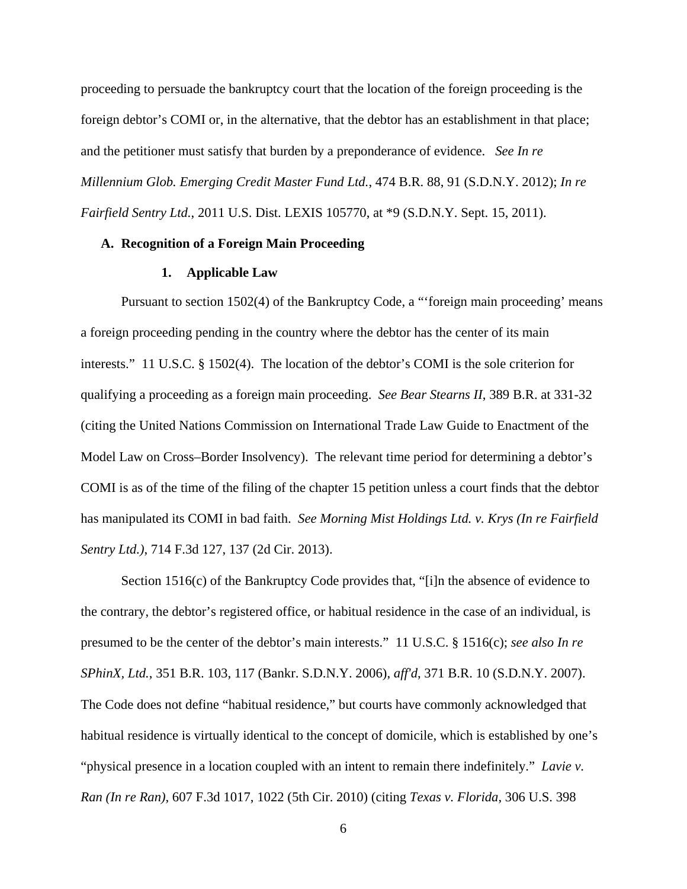proceeding to persuade the bankruptcy court that the location of the foreign proceeding is the foreign debtor's COMI or, in the alternative, that the debtor has an establishment in that place; and the petitioner must satisfy that burden by a preponderance of evidence. *See In re Millennium Glob. Emerging Credit Master Fund Ltd.*, 474 B.R. 88, 91 (S.D.N.Y. 2012); *In re Fairfield Sentry Ltd.*, 2011 U.S. Dist. LEXIS 105770, at \*9 (S.D.N.Y. Sept. 15, 2011).

## **A. Recognition of a Foreign Main Proceeding**

## **1. Applicable Law**

Pursuant to section 1502(4) of the Bankruptcy Code, a "'foreign main proceeding' means a foreign proceeding pending in the country where the debtor has the center of its main interests." 11 U.S.C. § 1502(4). The location of the debtor's COMI is the sole criterion for qualifying a proceeding as a foreign main proceeding. *See Bear Stearns II*, 389 B.R. at 331-32 (citing the United Nations Commission on International Trade Law Guide to Enactment of the Model Law on Cross–Border Insolvency). The relevant time period for determining a debtor's COMI is as of the time of the filing of the chapter 15 petition unless a court finds that the debtor has manipulated its COMI in bad faith. *See Morning Mist Holdings Ltd. v. Krys (In re Fairfield Sentry Ltd.)*, 714 F.3d 127, 137 (2d Cir. 2013).

Section 1516(c) of the Bankruptcy Code provides that, "[i]n the absence of evidence to the contrary, the debtor's registered office, or habitual residence in the case of an individual, is presumed to be the center of the debtor's main interests." 11 U.S.C. § 1516(c); *see also In re SPhinX, Ltd.*, 351 B.R. 103, 117 (Bankr. S.D.N.Y. 2006), *aff'd*, 371 B.R. 10 (S.D.N.Y. 2007). The Code does not define "habitual residence," but courts have commonly acknowledged that habitual residence is virtually identical to the concept of domicile, which is established by one's "physical presence in a location coupled with an intent to remain there indefinitely." *Lavie v. Ran (In re Ran)*, 607 F.3d 1017, 1022 (5th Cir. 2010) (citing *Texas v. Florida*, 306 U.S. 398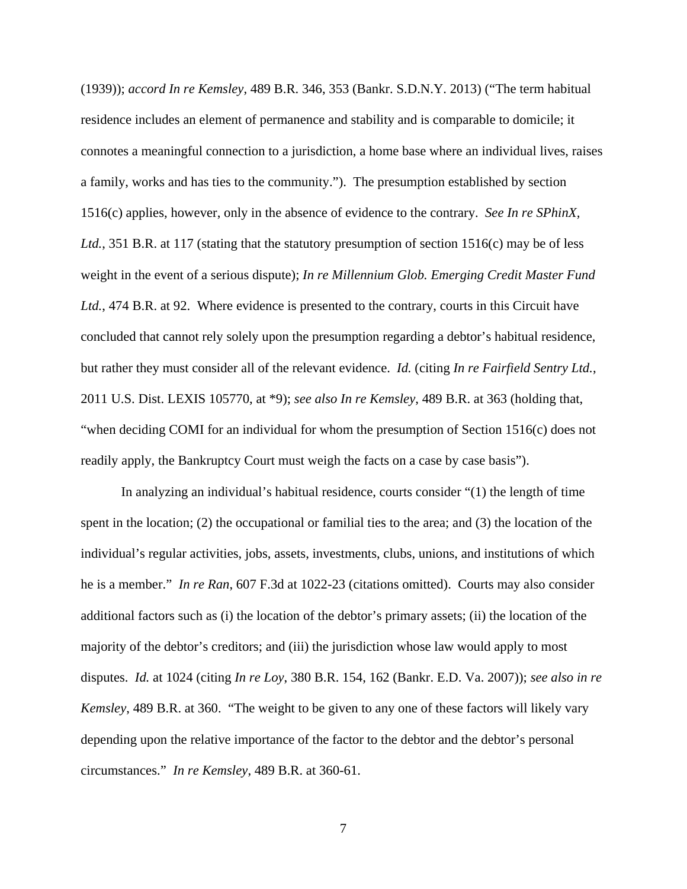(1939)); *accord In re Kemsley*, 489 B.R. 346, 353 (Bankr. S.D.N.Y. 2013) ("The term habitual residence includes an element of permanence and stability and is comparable to domicile; it connotes a meaningful connection to a jurisdiction, a home base where an individual lives, raises a family, works and has ties to the community."). The presumption established by section 1516(c) applies, however, only in the absence of evidence to the contrary. *See In re SPhinX, Ltd.*, 351 B.R. at 117 (stating that the statutory presumption of section 1516(c) may be of less weight in the event of a serious dispute); *In re Millennium Glob. Emerging Credit Master Fund Ltd.*, 474 B.R. at 92. Where evidence is presented to the contrary, courts in this Circuit have concluded that cannot rely solely upon the presumption regarding a debtor's habitual residence, but rather they must consider all of the relevant evidence. *Id.* (citing *In re Fairfield Sentry Ltd.*, 2011 U.S. Dist. LEXIS 105770, at \*9); *see also In re Kemsley*, 489 B.R. at 363 (holding that, "when deciding COMI for an individual for whom the presumption of Section 1516(c) does not readily apply, the Bankruptcy Court must weigh the facts on a case by case basis").

In analyzing an individual's habitual residence, courts consider "(1) the length of time spent in the location; (2) the occupational or familial ties to the area; and (3) the location of the individual's regular activities, jobs, assets, investments, clubs, unions, and institutions of which he is a member." *In re Ran*, 607 F.3d at 1022-23 (citations omitted). Courts may also consider additional factors such as (i) the location of the debtor's primary assets; (ii) the location of the majority of the debtor's creditors; and (iii) the jurisdiction whose law would apply to most disputes. *Id.* at 1024 (citing *In re Loy*, 380 B.R. 154, 162 (Bankr. E.D. Va. 2007)); *see also in re Kemsley*, 489 B.R. at 360. "The weight to be given to any one of these factors will likely vary depending upon the relative importance of the factor to the debtor and the debtor's personal circumstances." *In re Kemsley*, 489 B.R. at 360-61.

7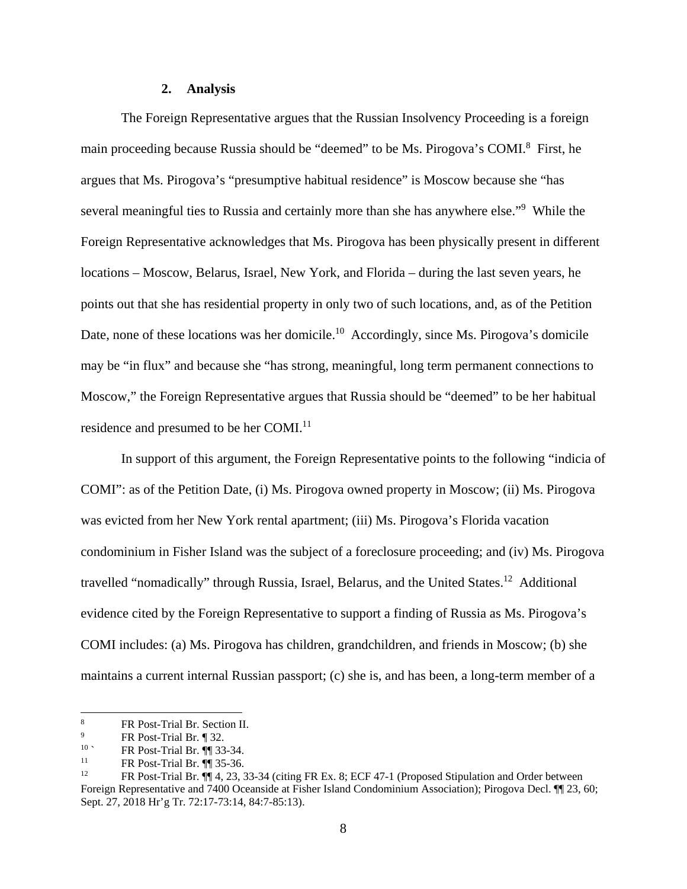#### **2. Analysis**

The Foreign Representative argues that the Russian Insolvency Proceeding is a foreign main proceeding because Russia should be "deemed" to be Ms. Pirogova's COMI.<sup>8</sup> First, he argues that Ms. Pirogova's "presumptive habitual residence" is Moscow because she "has several meaningful ties to Russia and certainly more than she has anywhere else."<sup>9</sup> While the Foreign Representative acknowledges that Ms. Pirogova has been physically present in different locations – Moscow, Belarus, Israel, New York, and Florida – during the last seven years, he points out that she has residential property in only two of such locations, and, as of the Petition Date, none of these locations was her domicile.<sup>10</sup> Accordingly, since Ms. Pirogova's domicile may be "in flux" and because she "has strong, meaningful, long term permanent connections to Moscow," the Foreign Representative argues that Russia should be "deemed" to be her habitual residence and presumed to be her COMI.<sup>11</sup>

In support of this argument, the Foreign Representative points to the following "indicia of COMI": as of the Petition Date, (i) Ms. Pirogova owned property in Moscow; (ii) Ms. Pirogova was evicted from her New York rental apartment; (iii) Ms. Pirogova's Florida vacation condominium in Fisher Island was the subject of a foreclosure proceeding; and (iv) Ms. Pirogova travelled "nomadically" through Russia, Israel, Belarus, and the United States.12 Additional evidence cited by the Foreign Representative to support a finding of Russia as Ms. Pirogova's COMI includes: (a) Ms. Pirogova has children, grandchildren, and friends in Moscow; (b) she maintains a current internal Russian passport; (c) she is, and has been, a long-term member of a

 8 FR Post-Trial Br. Section II.

<sup>9</sup> <sup>9</sup><br>FR Post-Trial Br.  $\left[\begin{array}{cc} 32. \\ 32. \end{array}\right]$ 

<sup>&</sup>lt;sup>10</sup> **FR** Post-Trial Br.  $\P$  33-34.

<sup>&</sup>lt;sup>11</sup> FR Post-Trial Br.  $\P$  35-36.<br><sup>12</sup> EP Post Trial Br.  $\P$  4. 22.3

<sup>12</sup> FR Post-Trial Br. ¶¶ 4, 23, 33-34 (citing FR Ex. 8; ECF 47-1 (Proposed Stipulation and Order between Foreign Representative and 7400 Oceanside at Fisher Island Condominium Association); Pirogova Decl. ¶¶ 23, 60; Sept. 27, 2018 Hr'g Tr. 72:17-73:14, 84:7-85:13).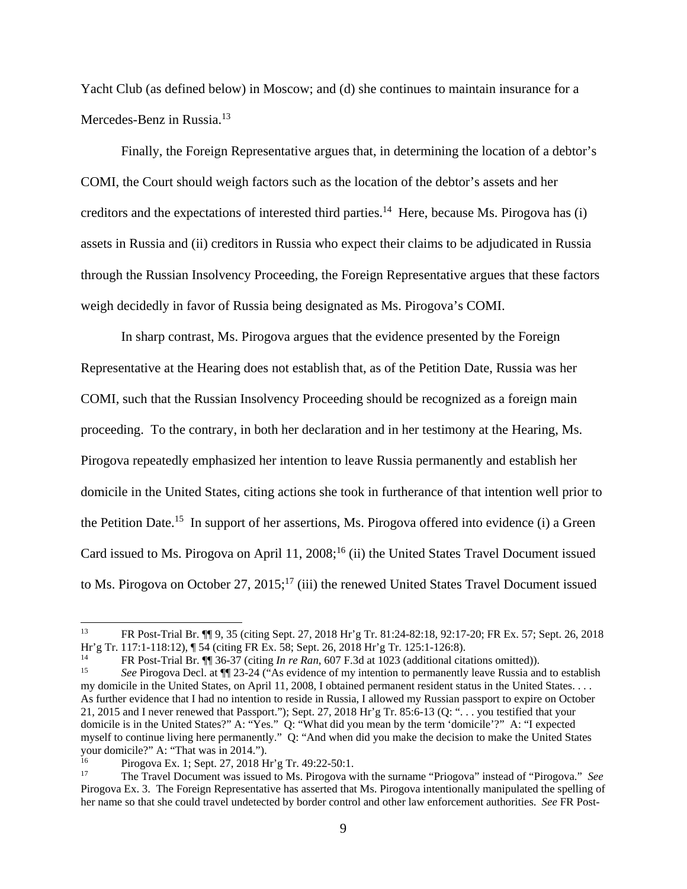Yacht Club (as defined below) in Moscow; and (d) she continues to maintain insurance for a Mercedes-Benz in Russia.<sup>13</sup>

Finally, the Foreign Representative argues that, in determining the location of a debtor's COMI, the Court should weigh factors such as the location of the debtor's assets and her creditors and the expectations of interested third parties.<sup>14</sup> Here, because Ms. Pirogova has (i) assets in Russia and (ii) creditors in Russia who expect their claims to be adjudicated in Russia through the Russian Insolvency Proceeding, the Foreign Representative argues that these factors weigh decidedly in favor of Russia being designated as Ms. Pirogova's COMI.

In sharp contrast, Ms. Pirogova argues that the evidence presented by the Foreign Representative at the Hearing does not establish that, as of the Petition Date, Russia was her COMI, such that the Russian Insolvency Proceeding should be recognized as a foreign main proceeding. To the contrary, in both her declaration and in her testimony at the Hearing, Ms. Pirogova repeatedly emphasized her intention to leave Russia permanently and establish her domicile in the United States, citing actions she took in furtherance of that intention well prior to the Petition Date.<sup>15</sup> In support of her assertions, Ms. Pirogova offered into evidence (i) a Green Card issued to Ms. Pirogova on April 11,  $2008$ ;<sup>16</sup> (ii) the United States Travel Document issued to Ms. Pirogova on October 27, 2015;<sup>17</sup> (iii) the renewed United States Travel Document issued

<sup>13</sup> FR Post-Trial Br. ¶¶ 9, 35 (citing Sept. 27, 2018 Hr'g Tr. 81:24-82:18, 92:17-20; FR Ex. 57; Sept. 26, 2018 Hr'g Tr. 117:1-118:12), ¶ 54 (citing FR Ex. 58; Sept. 26, 2018 Hr'g Tr. 125:1-126:8).

<sup>14</sup> FR Post-Trial Br. ¶¶ 36-37 (citing *In re Ran*, 607 F.3d at 1023 (additional citations omitted)). 15 *See* Pirogova Decl. at ¶¶ 23-24 ("As evidence of my intention to permanently leave Russia and to establish

my domicile in the United States, on April 11, 2008, I obtained permanent resident status in the United States. . . . As further evidence that I had no intention to reside in Russia, I allowed my Russian passport to expire on October 21, 2015 and I never renewed that Passport."); Sept. 27, 2018 Hr'g Tr. 85:6-13 (Q: ". . . you testified that your domicile is in the United States?" A: "Yes." Q: "What did you mean by the term 'domicile'?" A: "I expected myself to continue living here permanently." Q: "And when did you make the decision to make the United States your domicile?" A: "That was in 2014.").

Pirogova Ex. 1; Sept. 27, 2018 Hr'g Tr. 49:22-50:1.<br>The Travel Document was issued to Ms. Pirogova with the surname "Priogova" instead of "Pirogova." *See* Pirogova Ex. 3. The Foreign Representative has asserted that Ms. Pirogova intentionally manipulated the spelling of her name so that she could travel undetected by border control and other law enforcement authorities. *See* FR Post-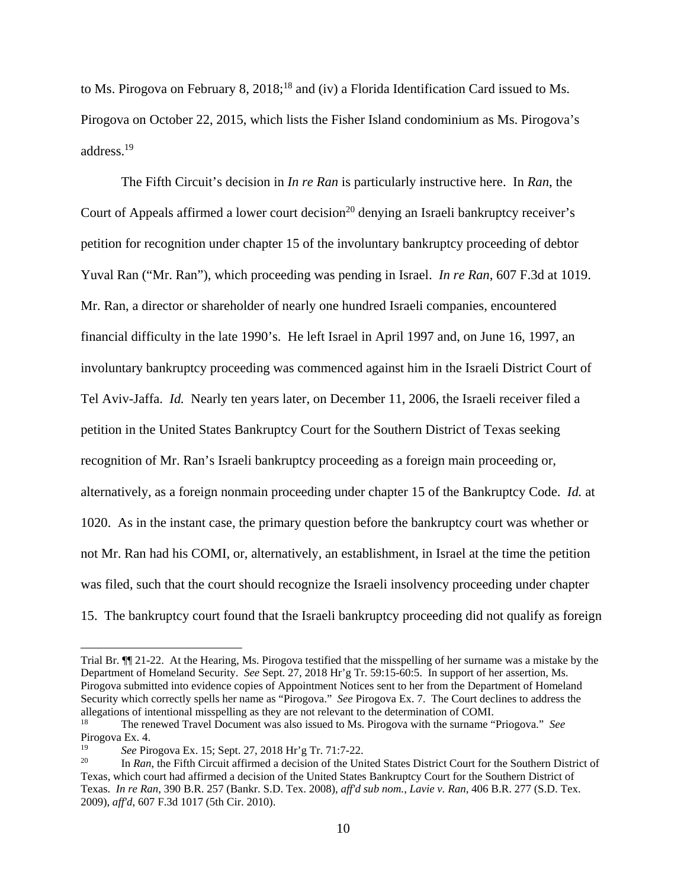to Ms. Pirogova on February 8,  $2018$ ;<sup>18</sup> and (iv) a Florida Identification Card issued to Ms. Pirogova on October 22, 2015, which lists the Fisher Island condominium as Ms. Pirogova's address.19

The Fifth Circuit's decision in *In re Ran* is particularly instructive here. In *Ran*, the Court of Appeals affirmed a lower court decision<sup>20</sup> denying an Israeli bankruptcy receiver's petition for recognition under chapter 15 of the involuntary bankruptcy proceeding of debtor Yuval Ran ("Mr. Ran"), which proceeding was pending in Israel. *In re Ran*, 607 F.3d at 1019. Mr. Ran, a director or shareholder of nearly one hundred Israeli companies, encountered financial difficulty in the late 1990's. He left Israel in April 1997 and, on June 16, 1997, an involuntary bankruptcy proceeding was commenced against him in the Israeli District Court of Tel Aviv-Jaffa. *Id.* Nearly ten years later, on December 11, 2006, the Israeli receiver filed a petition in the United States Bankruptcy Court for the Southern District of Texas seeking recognition of Mr. Ran's Israeli bankruptcy proceeding as a foreign main proceeding or, alternatively, as a foreign nonmain proceeding under chapter 15 of the Bankruptcy Code. *Id.* at 1020.As in the instant case, the primary question before the bankruptcy court was whether or not Mr. Ran had his COMI, or, alternatively, an establishment, in Israel at the time the petition was filed, such that the court should recognize the Israeli insolvency proceeding under chapter 15. The bankruptcy court found that the Israeli bankruptcy proceeding did not qualify as foreign

Trial Br. ¶¶ 21-22. At the Hearing, Ms. Pirogova testified that the misspelling of her surname was a mistake by the Department of Homeland Security. *See* Sept. 27, 2018 Hr'g Tr. 59:15-60:5. In support of her assertion, Ms. Pirogova submitted into evidence copies of Appointment Notices sent to her from the Department of Homeland Security which correctly spells her name as "Pirogova." *See* Pirogova Ex. 7. The Court declines to address the allegations of intentional misspelling as they are not relevant to the determination of COMI.

<sup>18</sup> The renewed Travel Document was also issued to Ms. Pirogova with the surname "Priogova." *See*  Pirogova Ex. 4.

<sup>&</sup>lt;sup>19</sup> See Pirogova Ex. 15; Sept. 27, 2018 Hr'g Tr. 71:7-22.<br><sup>20</sup> In *Ran*, the Fifth Circuit affirmed a decision of the United States District Court for the Southern District of Texas, which court had affirmed a decision of the United States Bankruptcy Court for the Southern District of Texas. *In re Ran*, 390 B.R. 257 (Bankr. S.D. Tex. 2008), *aff'd sub nom., Lavie v. Ran*, 406 B.R. 277 (S.D. Tex. 2009), *aff'd*, 607 F.3d 1017 (5th Cir. 2010).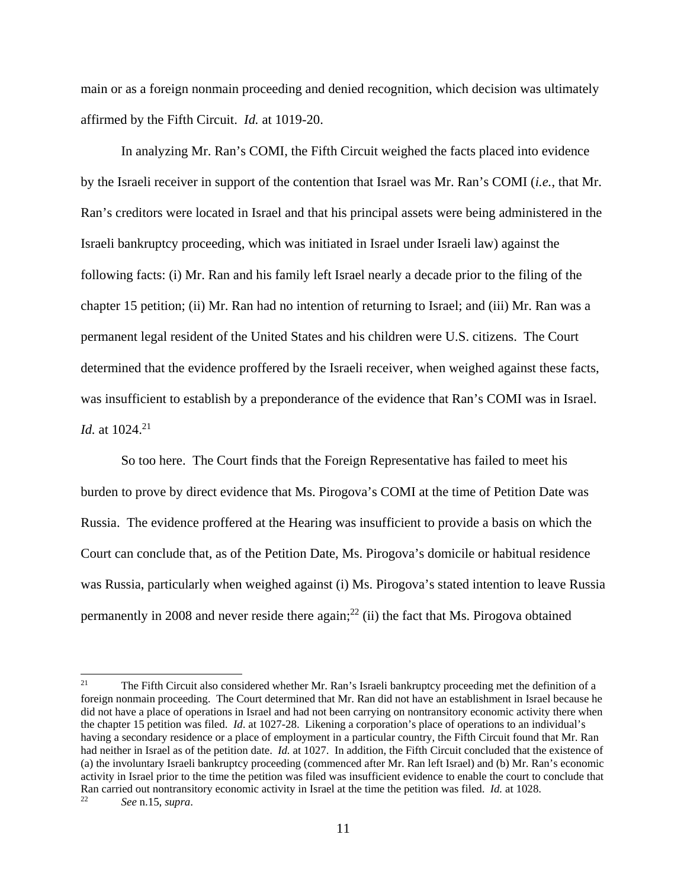main or as a foreign nonmain proceeding and denied recognition, which decision was ultimately affirmed by the Fifth Circuit. *Id.* at 1019-20.

In analyzing Mr. Ran's COMI, the Fifth Circuit weighed the facts placed into evidence by the Israeli receiver in support of the contention that Israel was Mr. Ran's COMI (*i.e.*, that Mr. Ran's creditors were located in Israel and that his principal assets were being administered in the Israeli bankruptcy proceeding, which was initiated in Israel under Israeli law) against the following facts: (i) Mr. Ran and his family left Israel nearly a decade prior to the filing of the chapter 15 petition; (ii) Mr. Ran had no intention of returning to Israel; and (iii) Mr. Ran was a permanent legal resident of the United States and his children were U.S. citizens. The Court determined that the evidence proffered by the Israeli receiver, when weighed against these facts, was insufficient to establish by a preponderance of the evidence that Ran's COMI was in Israel. *Id.* at 1024.<sup>21</sup>

So too here. The Court finds that the Foreign Representative has failed to meet his burden to prove by direct evidence that Ms. Pirogova's COMI at the time of Petition Date was Russia. The evidence proffered at the Hearing was insufficient to provide a basis on which the Court can conclude that, as of the Petition Date, Ms. Pirogova's domicile or habitual residence was Russia, particularly when weighed against (i) Ms. Pirogova's stated intention to leave Russia permanently in 2008 and never reside there again;<sup>22</sup> (ii) the fact that Ms. Pirogova obtained

<sup>21</sup> 21 The Fifth Circuit also considered whether Mr. Ran's Israeli bankruptcy proceeding met the definition of a foreign nonmain proceeding. The Court determined that Mr. Ran did not have an establishment in Israel because he did not have a place of operations in Israel and had not been carrying on nontransitory economic activity there when the chapter 15 petition was filed. *Id*. at 1027-28. Likening a corporation's place of operations to an individual's having a secondary residence or a place of employment in a particular country, the Fifth Circuit found that Mr. Ran had neither in Israel as of the petition date. *Id.* at 1027. In addition, the Fifth Circuit concluded that the existence of (a) the involuntary Israeli bankruptcy proceeding (commenced after Mr. Ran left Israel) and (b) Mr. Ran's economic activity in Israel prior to the time the petition was filed was insufficient evidence to enable the court to conclude that Ran carried out nontransitory economic activity in Israel at the time the petition was filed. *Id.* at 1028. 22 *See* n.15, *supra*.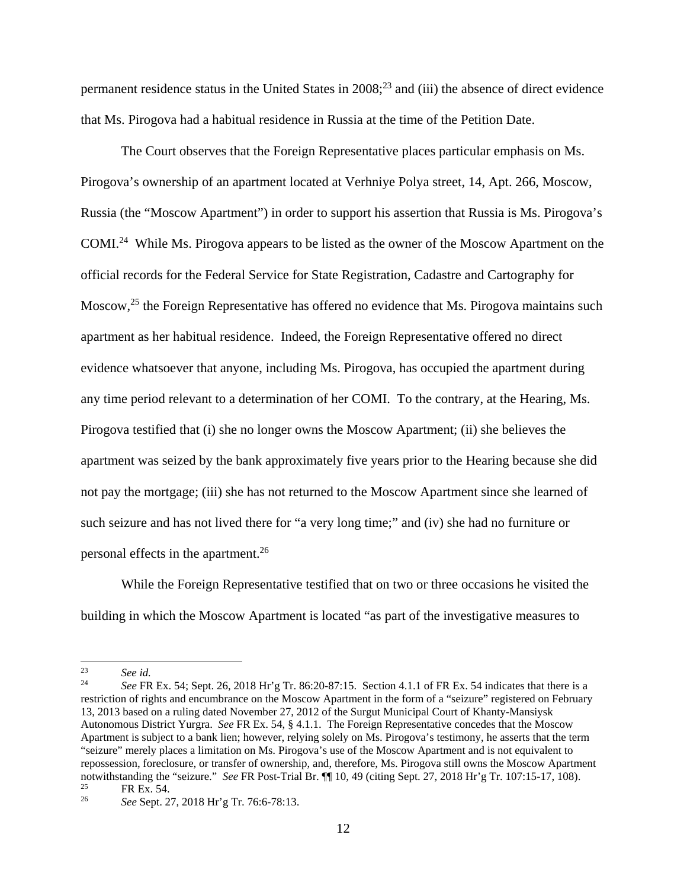permanent residence status in the United States in  $2008$ ;<sup>23</sup> and (iii) the absence of direct evidence that Ms. Pirogova had a habitual residence in Russia at the time of the Petition Date.

The Court observes that the Foreign Representative places particular emphasis on Ms. Pirogova's ownership of an apartment located at Verhniye Polya street, 14, Apt. 266, Moscow, Russia (the "Moscow Apartment") in order to support his assertion that Russia is Ms. Pirogova's COMI.24 While Ms. Pirogova appears to be listed as the owner of the Moscow Apartment on the official records for the Federal Service for State Registration, Cadastre and Cartography for Moscow,<sup>25</sup> the Foreign Representative has offered no evidence that Ms. Pirogova maintains such apartment as her habitual residence. Indeed, the Foreign Representative offered no direct evidence whatsoever that anyone, including Ms. Pirogova, has occupied the apartment during any time period relevant to a determination of her COMI. To the contrary, at the Hearing, Ms. Pirogova testified that (i) she no longer owns the Moscow Apartment; (ii) she believes the apartment was seized by the bank approximately five years prior to the Hearing because she did not pay the mortgage; (iii) she has not returned to the Moscow Apartment since she learned of such seizure and has not lived there for "a very long time;" and (iv) she had no furniture or personal effects in the apartment.26

While the Foreign Representative testified that on two or three occasions he visited the building in which the Moscow Apartment is located "as part of the investigative measures to

 $23$  $\frac{23}{24}$  *See id.* 

<sup>24</sup> *See* FR Ex. 54; Sept. 26, 2018 Hr'g Tr. 86:20-87:15. Section 4.1.1 of FR Ex. 54 indicates that there is a restriction of rights and encumbrance on the Moscow Apartment in the form of a "seizure" registered on February 13, 2013 based on a ruling dated November 27, 2012 of the Surgut Municipal Court of Khanty-Mansiysk Autonomous District Yurgra. *See* FR Ex. 54, § 4.1.1. The Foreign Representative concedes that the Moscow Apartment is subject to a bank lien; however, relying solely on Ms. Pirogova's testimony, he asserts that the term "seizure" merely places a limitation on Ms. Pirogova's use of the Moscow Apartment and is not equivalent to repossession, foreclosure, or transfer of ownership, and, therefore, Ms. Pirogova still owns the Moscow Apartment notwithstanding the "seizure." *See* FR Post-Trial Br. ¶¶ 10, 49 (citing Sept. 27, 2018 Hr'g Tr. 107:15-17, 108).<br><sup>25</sup> FR Ex. 54.<br><sup>26</sup> See Sont. 27, 2018 Hr'g Tr. 76:6, 78:13

<sup>26</sup> *See* Sept. 27, 2018 Hr'g Tr. 76:6-78:13.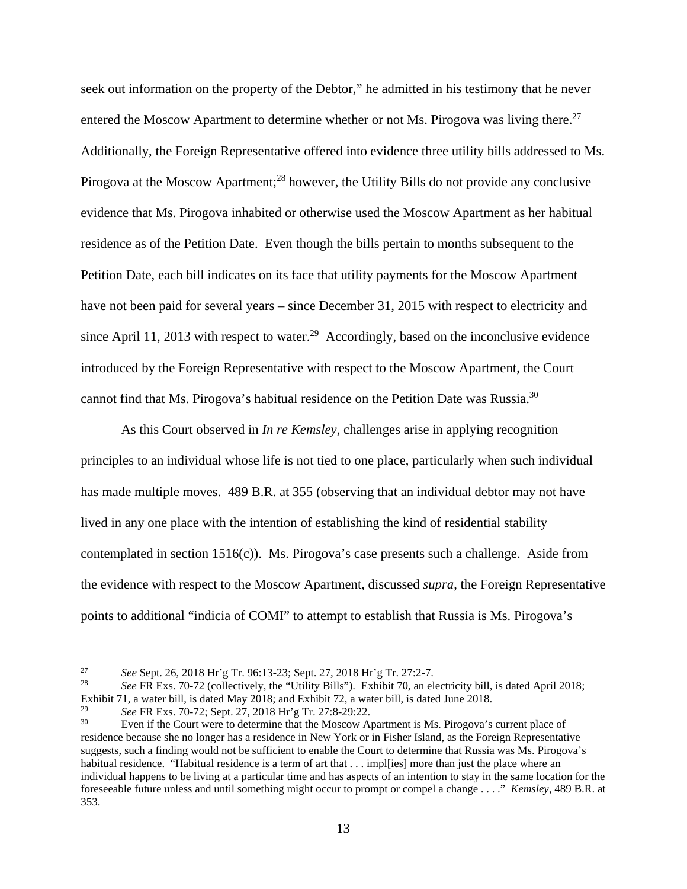seek out information on the property of the Debtor," he admitted in his testimony that he never entered the Moscow Apartment to determine whether or not Ms. Pirogova was living there.<sup>27</sup> Additionally, the Foreign Representative offered into evidence three utility bills addressed to Ms. Pirogova at the Moscow Apartment;<sup>28</sup> however, the Utility Bills do not provide any conclusive evidence that Ms. Pirogova inhabited or otherwise used the Moscow Apartment as her habitual residence as of the Petition Date. Even though the bills pertain to months subsequent to the Petition Date, each bill indicates on its face that utility payments for the Moscow Apartment have not been paid for several years – since December 31, 2015 with respect to electricity and since April 11, 2013 with respect to water.<sup>29</sup> Accordingly, based on the inconclusive evidence introduced by the Foreign Representative with respect to the Moscow Apartment, the Court cannot find that Ms. Pirogova's habitual residence on the Petition Date was Russia.30

As this Court observed in *In re Kemsley*, challenges arise in applying recognition principles to an individual whose life is not tied to one place, particularly when such individual has made multiple moves. 489 B.R. at 355 (observing that an individual debtor may not have lived in any one place with the intention of establishing the kind of residential stability contemplated in section 1516(c)). Ms. Pirogova's case presents such a challenge. Aside from the evidence with respect to the Moscow Apartment, discussed *supra*, the Foreign Representative points to additional "indicia of COMI" to attempt to establish that Russia is Ms. Pirogova's

<sup>&</sup>lt;sup>27</sup> See Sept. 26, 2018 Hr'g Tr. 96:13-23; Sept. 27, 2018 Hr'g Tr. 27:2-7.<br><sup>28</sup> See FR Exs. 70-72 (collectively, the "Utility Bills"). Exhibit 70, an electricity bill, is dated April 2018; Exhibit 71, a water bill, is dated May 2018; and Exhibit 72, a water bill, is dated June 2018.<br>
See FR Exs. 70-72; Sept. 27, 2018 Hr'g Tr. 27:8-29:22.

<sup>&</sup>lt;sup>30</sup> Even if the Court were to determine that the Moscow Apartment is Ms. Pirogova's current place of residence because she no longer has a residence in New York or in Fisher Island, as the Foreign Representative suggests, such a finding would not be sufficient to enable the Court to determine that Russia was Ms. Pirogova's habitual residence. "Habitual residence is a term of art that . . . imples more than just the place where an individual happens to be living at a particular time and has aspects of an intention to stay in the same location for the foreseeable future unless and until something might occur to prompt or compel a change . . . ." *Kemsley*, 489 B.R. at 353.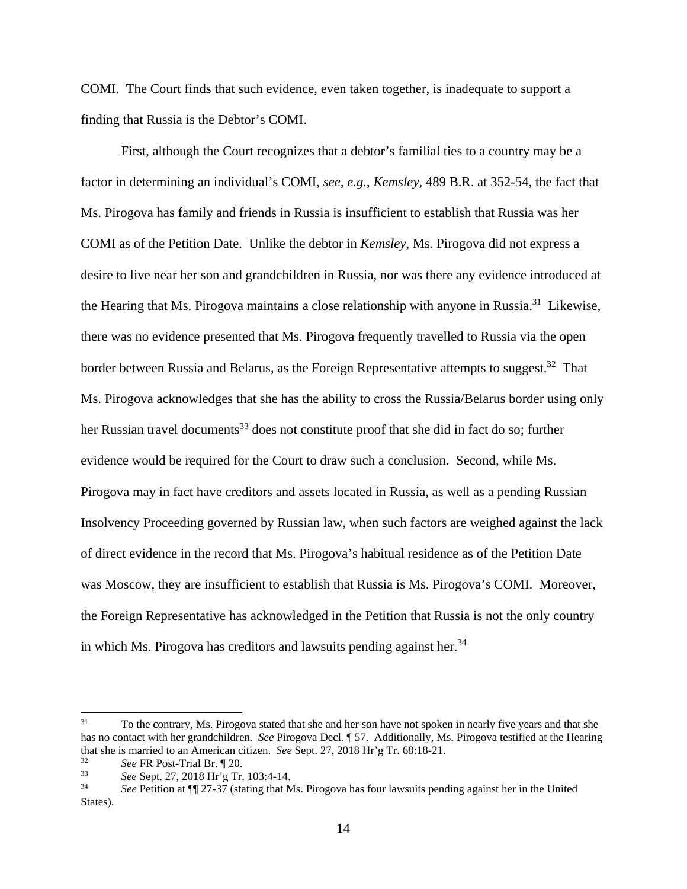COMI. The Court finds that such evidence, even taken together, is inadequate to support a finding that Russia is the Debtor's COMI.

First, although the Court recognizes that a debtor's familial ties to a country may be a factor in determining an individual's COMI, *see*, *e.g.*, *Kemsley*, 489 B.R. at 352-54, the fact that Ms. Pirogova has family and friends in Russia is insufficient to establish that Russia was her COMI as of the Petition Date. Unlike the debtor in *Kemsley*, Ms. Pirogova did not express a desire to live near her son and grandchildren in Russia, nor was there any evidence introduced at the Hearing that Ms. Pirogova maintains a close relationship with anyone in Russia.31 Likewise, there was no evidence presented that Ms. Pirogova frequently travelled to Russia via the open border between Russia and Belarus, as the Foreign Representative attempts to suggest.<sup>32</sup> That Ms. Pirogova acknowledges that she has the ability to cross the Russia/Belarus border using only her Russian travel documents<sup>33</sup> does not constitute proof that she did in fact do so; further evidence would be required for the Court to draw such a conclusion. Second, while Ms. Pirogova may in fact have creditors and assets located in Russia, as well as a pending Russian Insolvency Proceeding governed by Russian law, when such factors are weighed against the lack of direct evidence in the record that Ms. Pirogova's habitual residence as of the Petition Date was Moscow, they are insufficient to establish that Russia is Ms. Pirogova's COMI. Moreover, the Foreign Representative has acknowledged in the Petition that Russia is not the only country in which Ms. Pirogova has creditors and lawsuits pending against her. $34$ 

 $31$ 31 To the contrary, Ms. Pirogova stated that she and her son have not spoken in nearly five years and that she has no contact with her grandchildren. *See* Pirogova Decl. ¶ 57. Additionally, Ms. Pirogova testified at the Hearing that she is married to an American citizen. *See* Sept. 27, 2018 Hr'g Tr. 68:18-21.<br><sup>32</sup> *See* FR Post-Trial Br. ¶ 20.<br><sup>33</sup> *See* Sept. 27, 2018 Hr'g Tr. 103:4-14.<br><sup>34</sup> Cae Detition of **UL** 27.27 (etating that Me Dinagous

<sup>34</sup> *See* Petition at ¶¶ 27-37 (stating that Ms. Pirogova has four lawsuits pending against her in the United States).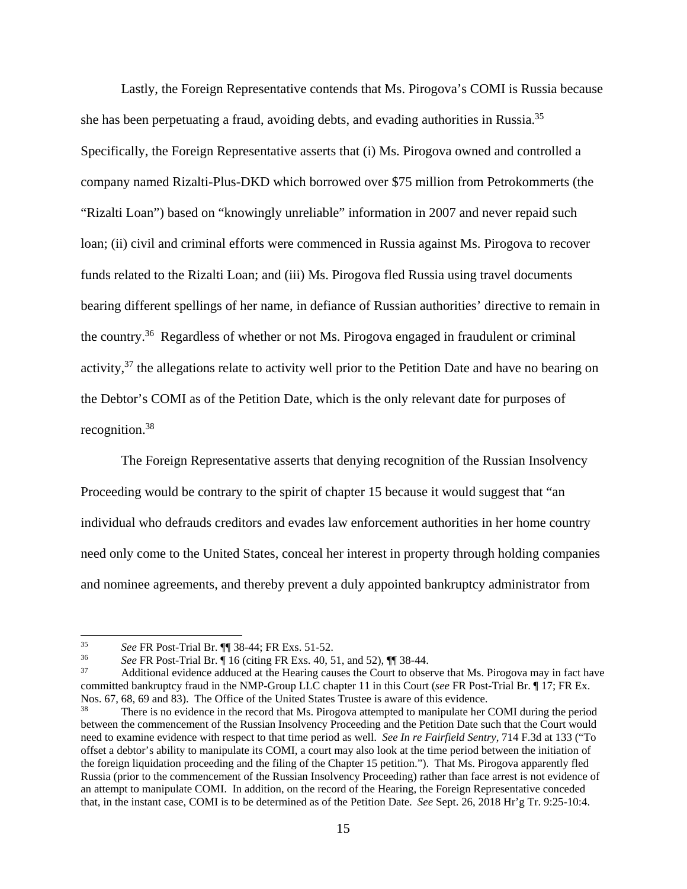Lastly, the Foreign Representative contends that Ms. Pirogova's COMI is Russia because she has been perpetuating a fraud, avoiding debts, and evading authorities in Russia.<sup>35</sup> Specifically, the Foreign Representative asserts that (i) Ms. Pirogova owned and controlled a company named Rizalti-Plus-DKD which borrowed over \$75 million from Petrokommerts (the "Rizalti Loan") based on "knowingly unreliable" information in 2007 and never repaid such loan; (ii) civil and criminal efforts were commenced in Russia against Ms. Pirogova to recover funds related to the Rizalti Loan; and (iii) Ms. Pirogova fled Russia using travel documents bearing different spellings of her name, in defiance of Russian authorities' directive to remain in the country.36 Regardless of whether or not Ms. Pirogova engaged in fraudulent or criminal activity,<sup>37</sup> the allegations relate to activity well prior to the Petition Date and have no bearing on the Debtor's COMI as of the Petition Date, which is the only relevant date for purposes of recognition.38

The Foreign Representative asserts that denying recognition of the Russian Insolvency Proceeding would be contrary to the spirit of chapter 15 because it would suggest that "an individual who defrauds creditors and evades law enforcement authorities in her home country need only come to the United States, conceal her interest in property through holding companies and nominee agreements, and thereby prevent a duly appointed bankruptcy administrator from

 $35<sup>°</sup>$ 

<sup>&</sup>lt;sup>35</sup> See FR Post-Trial Br.  $\P$  38-44; FR Exs. 51-52.<br><sup>36</sup> See FR Post-Trial Br.  $\P$  16 (citing FR Exs. 40, 51, and 52),  $\P$  38-44.<br><sup>37</sup> Additional evidence adduced at the Hearing causes the Court to observe that Ms. Pirog committed bankruptcy fraud in the NMP-Group LLC chapter 11 in this Court (*see* FR Post-Trial Br. ¶ 17; FR Ex.

There is no evidence in the record that Ms. Pirogova attempted to manipulate her COMI during the period between the commencement of the Russian Insolvency Proceeding and the Petition Date such that the Court would need to examine evidence with respect to that time period as well. *See In re Fairfield Sentry*, 714 F.3d at 133 ("To offset a debtor's ability to manipulate its COMI, a court may also look at the time period between the initiation of the foreign liquidation proceeding and the filing of the Chapter 15 petition."). That Ms. Pirogova apparently fled Russia (prior to the commencement of the Russian Insolvency Proceeding) rather than face arrest is not evidence of an attempt to manipulate COMI. In addition, on the record of the Hearing, the Foreign Representative conceded that, in the instant case, COMI is to be determined as of the Petition Date. *See* Sept. 26, 2018 Hr'g Tr. 9:25-10:4.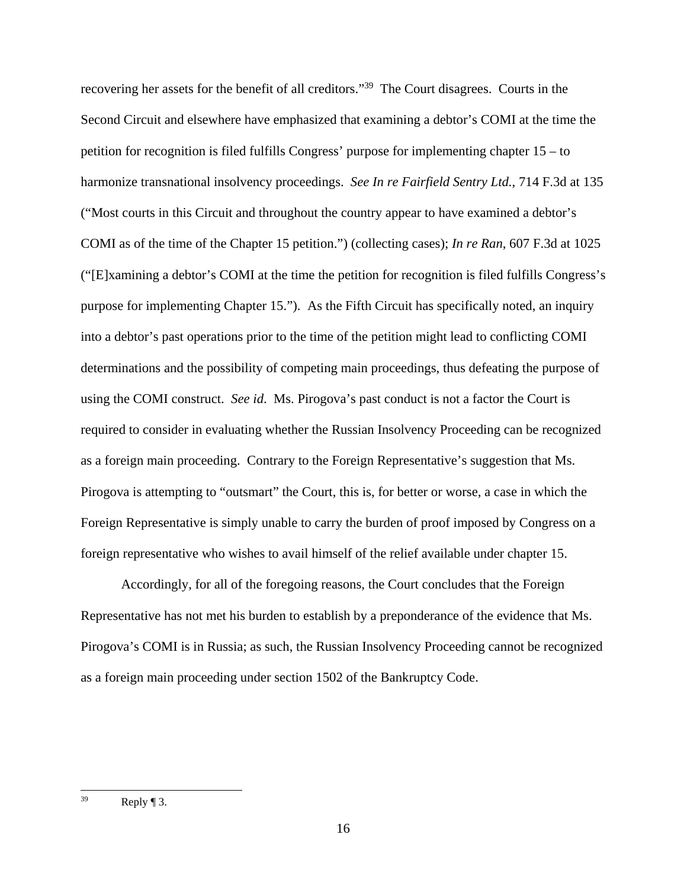recovering her assets for the benefit of all creditors."39 The Court disagrees. Courts in the Second Circuit and elsewhere have emphasized that examining a debtor's COMI at the time the petition for recognition is filed fulfills Congress' purpose for implementing chapter 15 – to harmonize transnational insolvency proceedings. *See In re Fairfield Sentry Ltd.*, 714 F.3d at 135 ("Most courts in this Circuit and throughout the country appear to have examined a debtor's COMI as of the time of the Chapter 15 petition.") (collecting cases); *In re Ran*, 607 F.3d at 1025 ("[E]xamining a debtor's COMI at the time the petition for recognition is filed fulfills Congress's purpose for implementing Chapter 15."). As the Fifth Circuit has specifically noted, an inquiry into a debtor's past operations prior to the time of the petition might lead to conflicting COMI determinations and the possibility of competing main proceedings, thus defeating the purpose of using the COMI construct. *See id*. Ms. Pirogova's past conduct is not a factor the Court is required to consider in evaluating whether the Russian Insolvency Proceeding can be recognized as a foreign main proceeding. Contrary to the Foreign Representative's suggestion that Ms. Pirogova is attempting to "outsmart" the Court, this is, for better or worse, a case in which the Foreign Representative is simply unable to carry the burden of proof imposed by Congress on a foreign representative who wishes to avail himself of the relief available under chapter 15.

Accordingly, for all of the foregoing reasons, the Court concludes that the Foreign Representative has not met his burden to establish by a preponderance of the evidence that Ms. Pirogova's COMI is in Russia; as such, the Russian Insolvency Proceeding cannot be recognized as a foreign main proceeding under section 1502 of the Bankruptcy Code.

<sup>39</sup> Reply  $\P$  3.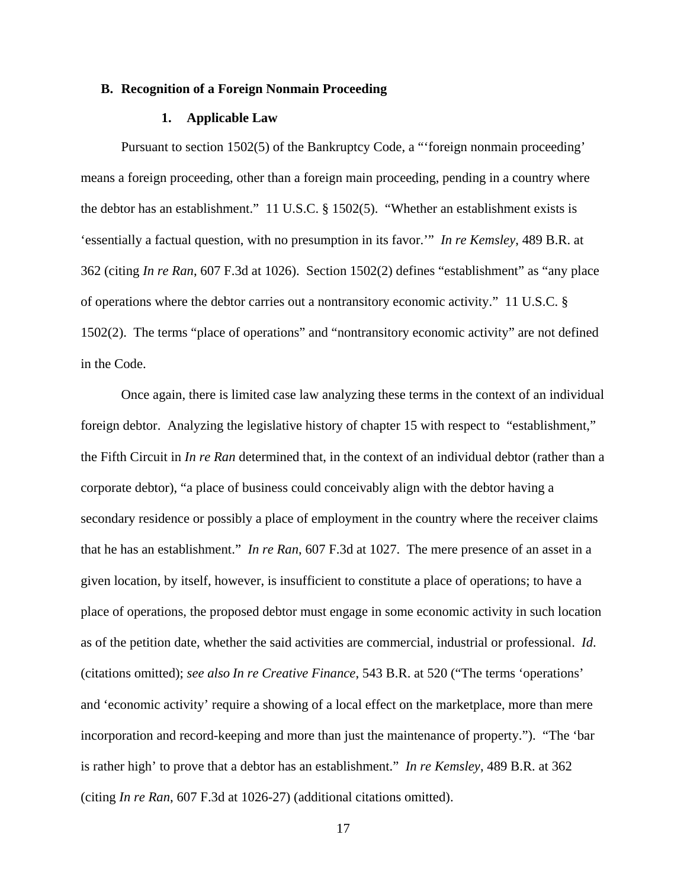### **B. Recognition of a Foreign Nonmain Proceeding**

### **1. Applicable Law**

Pursuant to section 1502(5) of the Bankruptcy Code, a "'foreign nonmain proceeding' means a foreign proceeding, other than a foreign main proceeding, pending in a country where the debtor has an establishment." 11 U.S.C. § 1502(5). "Whether an establishment exists is 'essentially a factual question, with no presumption in its favor.'" *In re Kemsley*, 489 B.R. at 362 (citing *In re Ran*, 607 F.3d at 1026). Section 1502(2) defines "establishment" as "any place of operations where the debtor carries out a nontransitory economic activity." 11 U.S.C. § 1502(2). The terms "place of operations" and "nontransitory economic activity" are not defined in the Code.

Once again, there is limited case law analyzing these terms in the context of an individual foreign debtor. Analyzing the legislative history of chapter 15 with respect to "establishment," the Fifth Circuit in *In re Ran* determined that, in the context of an individual debtor (rather than a corporate debtor), "a place of business could conceivably align with the debtor having a secondary residence or possibly a place of employment in the country where the receiver claims that he has an establishment." *In re Ran*, 607 F.3d at 1027. The mere presence of an asset in a given location, by itself, however, is insufficient to constitute a place of operations; to have a place of operations, the proposed debtor must engage in some economic activity in such location as of the petition date, whether the said activities are commercial, industrial or professional. *Id*. (citations omitted); *see also In re Creative Finance*, 543 B.R. at 520 ("The terms 'operations' and 'economic activity' require a showing of a local effect on the marketplace, more than mere incorporation and record-keeping and more than just the maintenance of property."). "The 'bar is rather high' to prove that a debtor has an establishment." *In re Kemsley*, 489 B.R. at 362 (citing *In re Ran*, 607 F.3d at 1026-27) (additional citations omitted).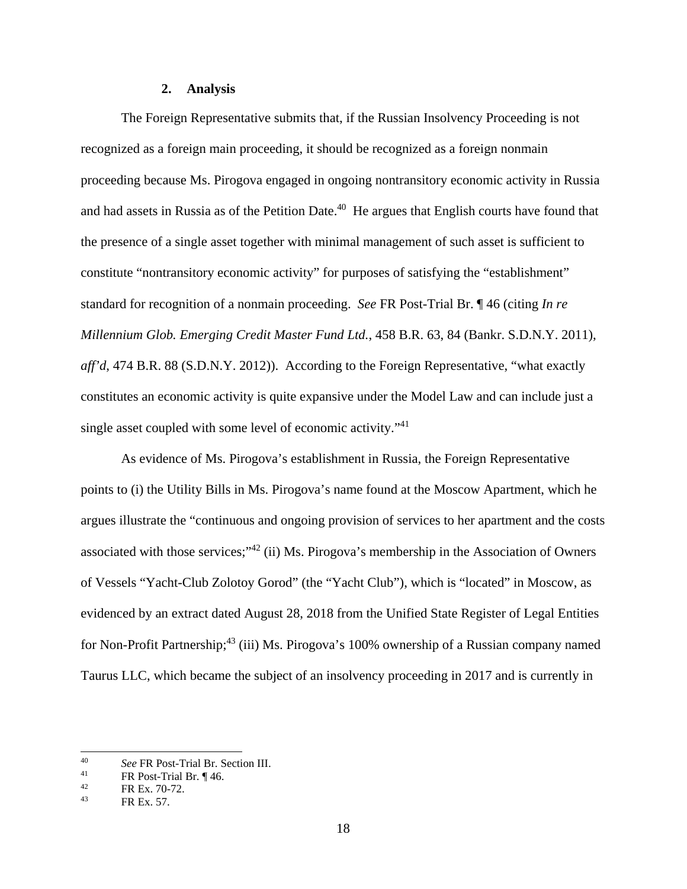### **2. Analysis**

The Foreign Representative submits that, if the Russian Insolvency Proceeding is not recognized as a foreign main proceeding, it should be recognized as a foreign nonmain proceeding because Ms. Pirogova engaged in ongoing nontransitory economic activity in Russia and had assets in Russia as of the Petition Date.<sup>40</sup> He argues that English courts have found that the presence of a single asset together with minimal management of such asset is sufficient to constitute "nontransitory economic activity" for purposes of satisfying the "establishment" standard for recognition of a nonmain proceeding. *See* FR Post-Trial Br. ¶ 46 (citing *In re Millennium Glob. Emerging Credit Master Fund Ltd.*, 458 B.R. 63, 84 (Bankr. S.D.N.Y. 2011), *aff'd*, 474 B.R. 88 (S.D.N.Y. 2012)). According to the Foreign Representative, "what exactly constitutes an economic activity is quite expansive under the Model Law and can include just a single asset coupled with some level of economic activity."41

As evidence of Ms. Pirogova's establishment in Russia, the Foreign Representative points to (i) the Utility Bills in Ms. Pirogova's name found at the Moscow Apartment, which he argues illustrate the "continuous and ongoing provision of services to her apartment and the costs associated with those services;"42 (ii) Ms. Pirogova's membership in the Association of Owners of Vessels "Yacht-Club Zolotoy Gorod" (the "Yacht Club"), which is "located" in Moscow, as evidenced by an extract dated August 28, 2018 from the Unified State Register of Legal Entities for Non-Profit Partnership;<sup>43</sup> (iii) Ms. Pirogova's 100% ownership of a Russian company named Taurus LLC, which became the subject of an insolvency proceeding in 2017 and is currently in

 $40<sup>2</sup>$ 40 See FR Post-Trial Br. Section III.<br><sup>41</sup> FR Post-Trial Br. ¶ 46.<br><sup>42</sup> EP Fr. 70.72

<sup>&</sup>lt;sup>42</sup> FR Ex. 70-72.

FR Ex. 57.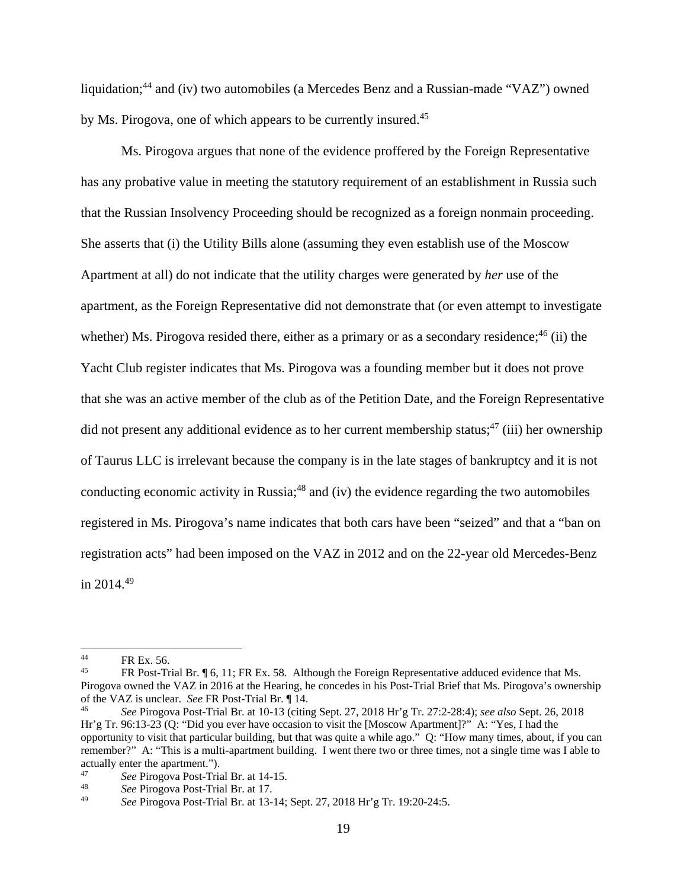liquidation;<sup>44</sup> and (iv) two automobiles (a Mercedes Benz and a Russian-made "VAZ") owned by Ms. Pirogova, one of which appears to be currently insured.<sup>45</sup>

Ms. Pirogova argues that none of the evidence proffered by the Foreign Representative has any probative value in meeting the statutory requirement of an establishment in Russia such that the Russian Insolvency Proceeding should be recognized as a foreign nonmain proceeding. She asserts that (i) the Utility Bills alone (assuming they even establish use of the Moscow Apartment at all) do not indicate that the utility charges were generated by *her* use of the apartment, as the Foreign Representative did not demonstrate that (or even attempt to investigate whether) Ms. Pirogova resided there, either as a primary or as a secondary residence;  $46$  (ii) the Yacht Club register indicates that Ms. Pirogova was a founding member but it does not prove that she was an active member of the club as of the Petition Date, and the Foreign Representative did not present any additional evidence as to her current membership status;<sup>47</sup> (iii) her ownership of Taurus LLC is irrelevant because the company is in the late stages of bankruptcy and it is not conducting economic activity in Russia;<sup>48</sup> and (iv) the evidence regarding the two automobiles registered in Ms. Pirogova's name indicates that both cars have been "seized" and that a "ban on registration acts" had been imposed on the VAZ in 2012 and on the 22-year old Mercedes-Benz in  $2014^{49}$ 

 $^{44}$  FR Ex. 56.

FR Post-Trial Br. ¶ 6, 11; FR Ex. 58. Although the Foreign Representative adduced evidence that Ms. Pirogova owned the VAZ in 2016 at the Hearing, he concedes in his Post-Trial Brief that Ms. Pirogova's ownership of the VAZ is unclear. *See* FR Post-Trial Br. ¶ 14. 46 *See* Pirogova Post-Trial Br. at 10-13 (citing Sept. 27, 2018 Hr'g Tr. 27:2-28:4); *see also* Sept. 26, 2018

Hr'g Tr. 96:13-23 (Q: "Did you ever have occasion to visit the [Moscow Apartment]?" A: "Yes, I had the opportunity to visit that particular building, but that was quite a while ago."  $Q:$  "How many times, about, if you can remember?" A: "This is a multi-apartment building. I went there two or three times, not a single time was I able to actually enter the apartment.").<br><sup>47</sup> See Pireceve Post Trie

<sup>47</sup>*See* Pirogova Post-Trial Br. at 14-15. 48 *See* Pirogova Post-Trial Br. at 17.

<sup>49</sup> *See* Pirogova Post-Trial Br. at 13-14; Sept. 27, 2018 Hr'g Tr. 19:20-24:5.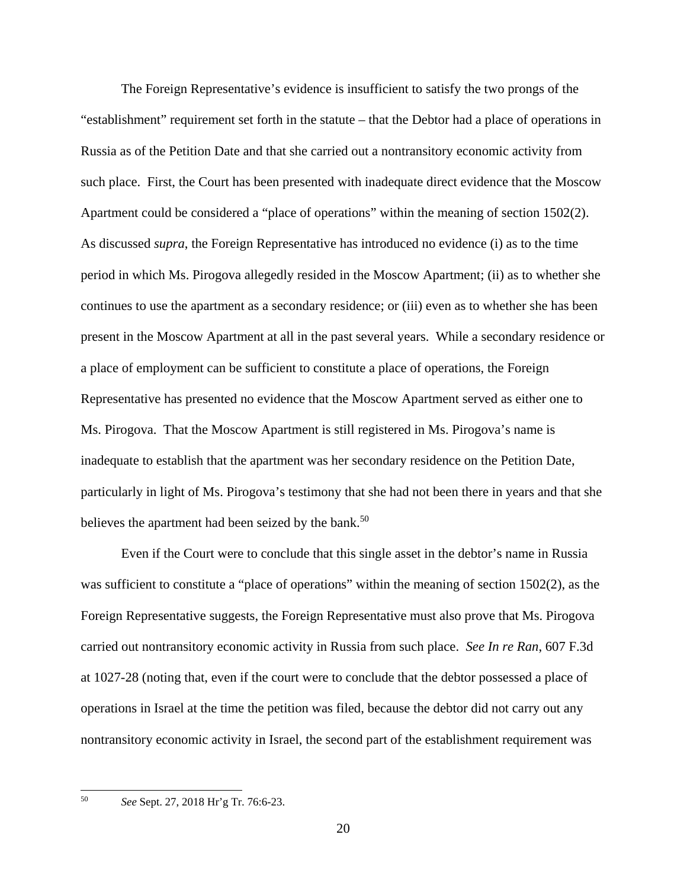The Foreign Representative's evidence is insufficient to satisfy the two prongs of the "establishment" requirement set forth in the statute – that the Debtor had a place of operations in Russia as of the Petition Date and that she carried out a nontransitory economic activity from such place. First, the Court has been presented with inadequate direct evidence that the Moscow Apartment could be considered a "place of operations" within the meaning of section 1502(2). As discussed *supra*, the Foreign Representative has introduced no evidence (i) as to the time period in which Ms. Pirogova allegedly resided in the Moscow Apartment; (ii) as to whether she continues to use the apartment as a secondary residence; or (iii) even as to whether she has been present in the Moscow Apartment at all in the past several years. While a secondary residence or a place of employment can be sufficient to constitute a place of operations, the Foreign Representative has presented no evidence that the Moscow Apartment served as either one to Ms. Pirogova. That the Moscow Apartment is still registered in Ms. Pirogova's name is inadequate to establish that the apartment was her secondary residence on the Petition Date, particularly in light of Ms. Pirogova's testimony that she had not been there in years and that she believes the apartment had been seized by the bank.<sup>50</sup>

Even if the Court were to conclude that this single asset in the debtor's name in Russia was sufficient to constitute a "place of operations" within the meaning of section 1502(2), as the Foreign Representative suggests, the Foreign Representative must also prove that Ms. Pirogova carried out nontransitory economic activity in Russia from such place. *See In re Ran*, 607 F.3d at 1027-28 (noting that, even if the court were to conclude that the debtor possessed a place of operations in Israel at the time the petition was filed, because the debtor did not carry out any nontransitory economic activity in Israel, the second part of the establishment requirement was

50

<sup>50</sup> *See* Sept. 27, 2018 Hr'g Tr. 76:6-23.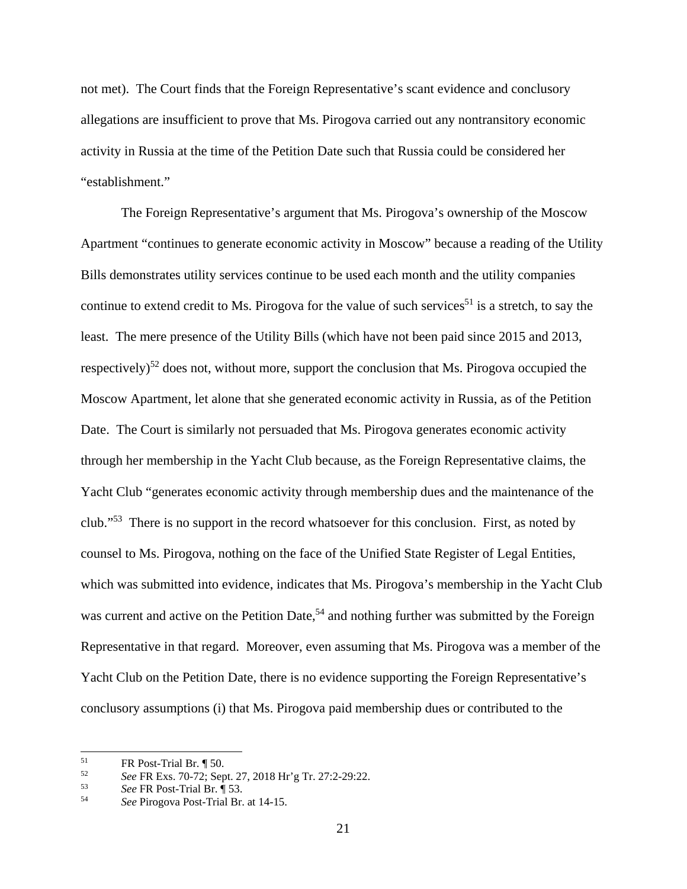not met). The Court finds that the Foreign Representative's scant evidence and conclusory allegations are insufficient to prove that Ms. Pirogova carried out any nontransitory economic activity in Russia at the time of the Petition Date such that Russia could be considered her "establishment."

The Foreign Representative's argument that Ms. Pirogova's ownership of the Moscow Apartment "continues to generate economic activity in Moscow" because a reading of the Utility Bills demonstrates utility services continue to be used each month and the utility companies continue to extend credit to Ms. Pirogova for the value of such services<sup>51</sup> is a stretch, to say the least. The mere presence of the Utility Bills (which have not been paid since 2015 and 2013, respectively)<sup>52</sup> does not, without more, support the conclusion that Ms. Pirogova occupied the Moscow Apartment, let alone that she generated economic activity in Russia, as of the Petition Date. The Court is similarly not persuaded that Ms. Pirogova generates economic activity through her membership in the Yacht Club because, as the Foreign Representative claims, the Yacht Club "generates economic activity through membership dues and the maintenance of the club."53 There is no support in the record whatsoever for this conclusion. First, as noted by counsel to Ms. Pirogova, nothing on the face of the Unified State Register of Legal Entities, which was submitted into evidence, indicates that Ms. Pirogova's membership in the Yacht Club was current and active on the Petition Date,<sup>54</sup> and nothing further was submitted by the Foreign Representative in that regard. Moreover, even assuming that Ms. Pirogova was a member of the Yacht Club on the Petition Date, there is no evidence supporting the Foreign Representative's conclusory assumptions (i) that Ms. Pirogova paid membership dues or contributed to the

<sup>51</sup>  $^{51}$  FR Post-Trial Br.  $^{9}$  50.<br> $^{52}$  See EP Exe 70.72: Sep

<sup>52</sup>*See* FR Exs. 70-72; Sept. 27, 2018 Hr'g Tr. 27:2-29:22. 53 *See* FR Post-Trial Br. ¶ 53. 54 *See* Pirogova Post-Trial Br. at 14-15.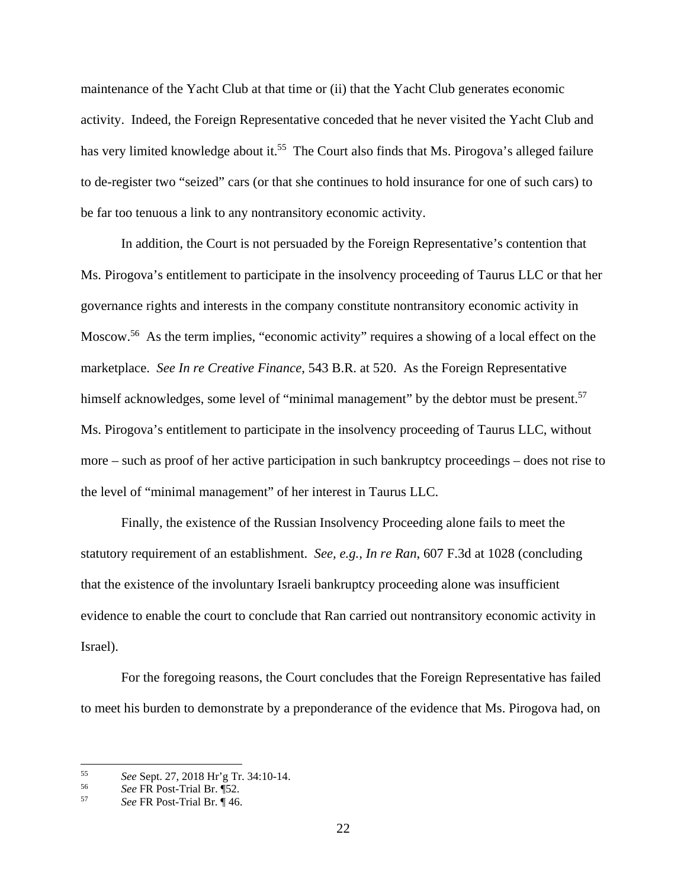maintenance of the Yacht Club at that time or (ii) that the Yacht Club generates economic activity. Indeed, the Foreign Representative conceded that he never visited the Yacht Club and has very limited knowledge about it.<sup>55</sup> The Court also finds that Ms. Pirogova's alleged failure to de-register two "seized" cars (or that she continues to hold insurance for one of such cars) to be far too tenuous a link to any nontransitory economic activity.

In addition, the Court is not persuaded by the Foreign Representative's contention that Ms. Pirogova's entitlement to participate in the insolvency proceeding of Taurus LLC or that her governance rights and interests in the company constitute nontransitory economic activity in Moscow.<sup>56</sup> As the term implies, "economic activity" requires a showing of a local effect on the marketplace. *See In re Creative Finance*, 543 B.R. at 520. As the Foreign Representative himself acknowledges, some level of "minimal management" by the debtor must be present.<sup>57</sup> Ms. Pirogova's entitlement to participate in the insolvency proceeding of Taurus LLC, without more – such as proof of her active participation in such bankruptcy proceedings – does not rise to the level of "minimal management" of her interest in Taurus LLC.

Finally, the existence of the Russian Insolvency Proceeding alone fails to meet the statutory requirement of an establishment. *See, e.g., In re Ran*, 607 F.3d at 1028 (concluding that the existence of the involuntary Israeli bankruptcy proceeding alone was insufficient evidence to enable the court to conclude that Ran carried out nontransitory economic activity in Israel).

For the foregoing reasons, the Court concludes that the Foreign Representative has failed to meet his burden to demonstrate by a preponderance of the evidence that Ms. Pirogova had, on

<sup>55</sup> <sup>55</sup>*See* Sept. 27, 2018 Hr'g Tr. 34:10-14. 56 *See* FR Post-Trial Br. ¶52. 57 *See* FR Post-Trial Br. ¶ 46.